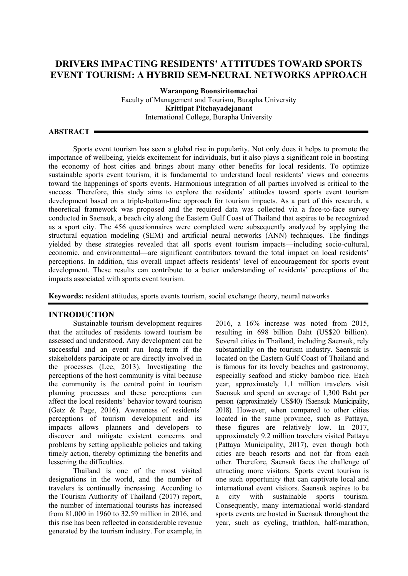# **DRIVERS IMPACTING RESIDENTS' ATTITUDES TOWARD SPORTS EVENT TOURISM: A HYBRID SEM-NEURAL NETWORKS APPROACH**

**Waranpong Boonsiritomachai** Faculty of Management and Tourism, Burapha University **Krittipat Pitchayadejanant** International College, Burapha University

**ABSTRACT**

Sports event tourism has seen a global rise in popularity. Not only does it helps to promote the importance of wellbeing, yields excitement for individuals, but it also plays a significant role in boosting the economy of host cities and brings about many other benefits for local residents. To optimize sustainable sports event tourism, it is fundamental to understand local residents' views and concerns toward the happenings of sports events. Harmonious integration of all parties involved is critical to the success. Therefore, this study aims to explore the residents' attitudes toward sports event tourism development based on a triple-bottom-line approach for tourism impacts. As a part of this research, a theoretical framework was proposed and the required data was collected via a face-to-face survey conducted in Saensuk, a beach city along the Eastern Gulf Coast of Thailand that aspires to be recognized as a sport city. The 456 questionnaires were completed were subsequently analyzed by applying the structural equation modeling (SEM) and artificial neural networks (ANN) techniques. The findings yielded by these strategies revealed that all sports event tourism impacts—including socio-cultural, economic, and environmental—are significant contributors toward the total impact on local residents' perceptions. In addition, this overall impact affects residents' level of encouragement for sports event development. These results can contribute to a better understanding of residents' perceptions of the impacts associated with sports event tourism.

**Keywords:** resident attitudes, sports events tourism, social exchange theory, neural networks

#### **INTRODUCTION**

Sustainable tourism development requires that the attitudes of residents toward tourism be assessed and understood. Any development can be successful and an event run long-term if the stakeholders participate or are directly involved in the processes (Lee, 2013). Investigating the perceptions of the host community is vital because the community is the central point in tourism planning processes and these perceptions can affect the local residents' behavior toward tourism (Getz & Page, 2016). Awareness of residents' perceptions of tourism development and its impacts allows planners and developers to discover and mitigate existent concerns and problems by setting applicable policies and taking timely action, thereby optimizing the benefits and lessening the difficulties.

Thailand is one of the most visited designations in the world, and the number of travelers is continually increasing. According to the Tourism Authority of Thailand (2017) report, the number of international tourists has increased from 81,000 in 1960 to 32.59 million in 2016, and this rise has been reflected in considerable revenue generated by the tourism industry. For example, in

2016, a 16% increase was noted from 2015, resulting in 698 billion Baht (US\$20 billion). Several cities in Thailand, including Saensuk, rely substantially on the tourism industry. Saensuk is located on the Eastern Gulf Coast of Thailand and is famous for its lovely beaches and gastronomy, especially seafood and sticky bamboo rice. Each year, approximately 1.1 million travelers visit Saensuk and spend an average of 1,300 Baht per person (approximately US\$40) (Saensuk Municipality, 2018). However, when compared to other cities located in the same province, such as Pattaya, these figures are relatively low. In 2017, approximately 9.2 million travelers visited Pattaya (Pattaya Municipality, 2017), even though both cities are beach resorts and not far from each other. Therefore, Saensuk faces the challenge of attracting more visitors. Sports event tourism is one such opportunity that can captivate local and international event visitors. Saensuk aspires to be a city with sustainable sports tourism. Consequently, many international world-standard sports events are hosted in Saensuk throughout the year, such as cycling, triathlon, half-marathon,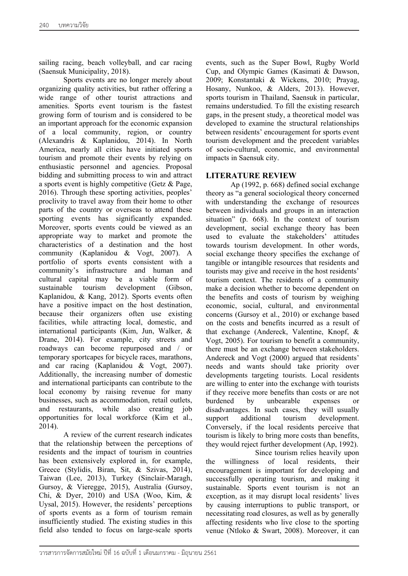sailing racing, beach volleyball, and car racing (Saensuk Municipality, 2018).

Sports events are no longer merely about organizing quality activities, but rather offering a wide range of other tourist attractions and amenities. Sports event tourism is the fastest growing form of tourism and is considered to be an important approach for the economic expansion of a local community, region, or country (Alexandris & Kaplanidou, 2014). In North America, nearly all cities have initiated sports tourism and promote their events by relying on enthusiastic personnel and agencies. Proposal bidding and submitting process to win and attract a sports event is highly competitive (Getz & Page, 2016). Through these sporting activities, peoples' proclivity to travel away from their home to other parts of the country or overseas to attend these sporting events has significantly expanded. Moreover, sports events could be viewed as an appropriate way to market and promote the characteristics of a destination and the host community (Kaplanidou & Vogt, 2007). A portfolio of sports events consistent with a community's infrastructure and human and cultural capital may be a viable form of sustainable tourism development (Gibson, Kaplanidou, & Kang, 2012). Sports events often have a positive impact on the host destination, because their organizers often use existing facilities, while attracting local, domestic, and international participants (Kim, Jun, Walker, & Drane, 2014). For example, city streets and roadways can become repurposed and / or temporary sportcapes for bicycle races, marathons, and car racing (Kaplanidou & Vogt, 2007). Additionally, the increasing number of domestic and international participants can contribute to the local economy by raising revenue for many businesses, such as accommodation, retail outlets, and restaurants, while also creating job opportunities for local workforce (Kim et al., 2014).

A review of the current research indicates that the relationship between the perceptions of residents and the impact of tourism in countries has been extensively explored in, for example, Greece (Stylidis, Biran, Sit, & Szivas, 2014), Taiwan (Lee, 2013), Turkey (Sinclair-Maragh, Gursoy, & Vieregge, 2015), Australia (Gursoy, Chi, & Dyer, 2010) and USA (Woo, Kim, & Uysal, 2015). However, the residents' perceptions of sports events as a form of tourism remain insufficiently studied. The existing studies in this field also tended to focus on large-scale sports

events, such as the Super Bowl, Rugby World Cup, and Olympic Games (Kasimati & Dawson, 2009; Konstantaki & Wickens, 2010; Prayag, Hosany, Nunkoo, & Alders, 2013). However, sports tourism in Thailand, Saensuk in particular, remains understudied. To fill the existing research gaps, in the present study, a theoretical model was developed to examine the structural relationships between residents' encouragement for sports event tourism development and the precedent variables of socio-cultural, economic, and environmental impacts in Saensuk city.

## **LITERATURE REVIEW**

Ap (1992, p. 668) defined social exchange theory as "a general sociological theory concerned with understanding the exchange of resources between individuals and groups in an interaction situation" (p. 668). In the context of tourism development, social exchange theory has been used to evaluate the stakeholders' attitudes towards tourism development. In other words, social exchange theory specifies the exchange of tangible or intangible resources that residents and tourists may give and receive in the host residents' tourism context. The residents of a community make a decision whether to become dependent on the benefits and costs of tourism by weighing economic, social, cultural, and environmental concerns (Gursoy et al., 2010) or exchange based on the costs and benefits incurred as a result of that exchange (Andereck, Valentine, Knopf, & Vogt, 2005). For tourism to benefit a community, there must be an exchange between stakeholders. Andereck and Vogt (2000) argued that residents' needs and wants should take priority over developments targeting tourists. Local residents are willing to enter into the exchange with tourists if they receive more benefits than costs or are not burdened by unbearable expenses or disadvantages. In such cases, they will usually support additional tourism development. Conversely, if the local residents perceive that tourism is likely to bring more costs than benefits, they would reject further development (Ap, 1992).

Since tourism relies heavily upon the willingness of local residents, their encouragement is important for developing and successfully operating tourism, and making it sustainable. Sports event tourism is not an exception, as it may disrupt local residents' lives by causing interruptions to public transport, or necessitating road closures, as well as by generally affecting residents who live close to the sporting venue (Ntloko & Swart, 2008). Moreover, it can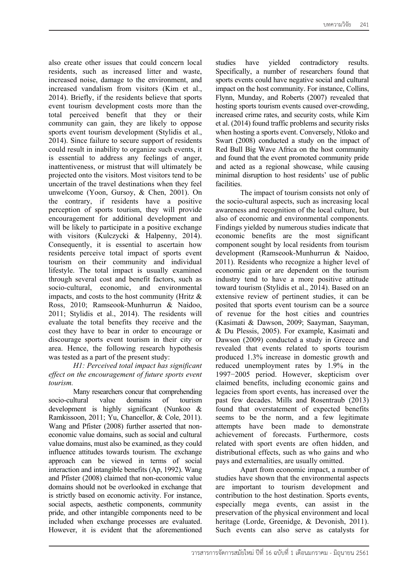also create other issues that could concern local residents, such as increased litter and waste, increased noise, damage to the environment, and increased vandalism from visitors (Kim et al., 2014). Briefly, if the residents believe that sports event tourism development costs more than the total perceived benefit that they or their community can gain, they are likely to oppose sports event tourism development (Stylidis et al., 2014). Since failure to secure support of residents could result in inability to organize such events, it is essential to address any feelings of anger, inattentiveness, or mistrust that will ultimately be projected onto the visitors. Most visitors tend to be uncertain of the travel destinations when they feel unwelcome (Yoon, Gursoy, & Chen, 2001). On the contrary, if residents have a positive perception of sports tourism, they will provide encouragement for additional development and will be likely to participate in a positive exchange with visitors (Kulczycki & Halpenny, 2014). Consequently, it is essential to ascertain how residents perceive total impact of sports event tourism on their community and individual lifestyle. The total impact is usually examined through several cost and benefit factors, such as socio-cultural, economic, and environmental impacts, and costs to the host community (Hritz  $\&$ Ross, 2010; Ramseook-Munhurrun & Naidoo, 2011; Stylidis et al., 2014). The residents will evaluate the total benefits they receive and the cost they have to bear in order to encourage or discourage sports event tourism in their city or area. Hence, the following research hypothesis was tested as a part of the present study:

### *H1: Perceived total impact has significant effect on the encouragement of future sports event tourism.*

Many researchers concur that comprehending socio-cultural value domains of tourism development is highly significant (Nunkoo & Ramkissoon, 2011; Yu, Chancellor, & Cole, 2011). Wang and Pfister (2008) further asserted that noneconomic value domains, such as social and cultural value domains, must also be examined, as they could influence attitudes towards tourism. The exchange approach can be viewed in terms of social interaction and intangible benefits (Ap, 1992). Wang and Pfister (2008) claimed that non-economic value domains should not be overlooked in exchange that is strictly based on economic activity. For instance, social aspects, aesthetic components, community pride, and other intangible components need to be included when exchange processes are evaluated. However, it is evident that the aforementioned

studies have yielded contradictory results. Specifically, a number of researchers found that sports events could have negative social and cultural impact on the host community. For instance, Collins, Flynn, Munday, and Roberts (2007) revealed that hosting sports tourism events caused over-crowding, increased crime rates, and security costs, while Kim et al. (2014) found traffic problems and security risks when hosting a sports event. Conversely, Ntloko and Swart (2008) conducted a study on the impact of Red Bull Big Wave Africa on the host community and found that the event promoted community pride and acted as a regional showcase, while causing minimal disruption to host residents' use of public facilities.

The impact of tourism consists not only of the socio-cultural aspects, such as increasing local awareness and recognition of the local culture, but also of economic and environmental components. Findings yielded by numerous studies indicate that economic benefits are the most significant component sought by local residents from tourism development (Ramseook-Munhurrun & Naidoo, 2011). Residents who recognize a higher level of economic gain or are dependent on the tourism industry tend to have a more positive attitude toward tourism (Stylidis et al., 2014). Based on an extensive review of pertinent studies, it can be posited that sports event tourism can be a source of revenue for the host cities and countries (Kasimati & Dawson, 2009; Saayman, Saayman, & Du Plessis, 2005). For example, Kasimati and Dawson (2009) conducted a study in Greece and revealed that events related to sports tourism produced 1.3% increase in domestic growth and reduced unemployment rates by 1.9% in the 1997−2005 period. However, skepticism over claimed benefits, including economic gains and legacies from sport events, has increased over the past few decades. Mills and Rosentraub (2013) found that overstatement of expected benefits seems to be the norm, and a few legitimate attempts have been made to demonstrate achievement of forecasts. Furthermore, costs related with sport events are often hidden, and distributional effects, such as who gains and who pays and externalities, are usually omitted.

Apart from economic impact, a number of studies have shown that the environmental aspects are important to tourism development and contribution to the host destination. Sports events, especially mega events, can assist in the preservation of the physical environment and local heritage (Lorde, Greenidge, & Devonish, 2011). Such events can also serve as catalysts for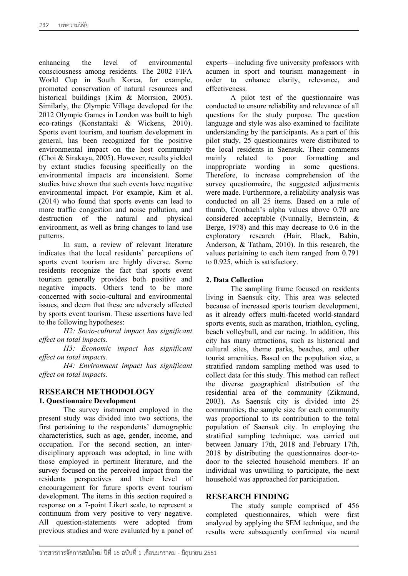enhancing the level of environmental consciousness among residents. The 2002 FIFA World Cup in South Korea, for example, promoted conservation of natural resources and historical buildings (Kim & Morrsion, 2005). Similarly, the Olympic Village developed for the 2012 Olympic Games in London was built to high eco-ratings (Konstantaki & Wickens, 2010). Sports event tourism, and tourism development in general, has been recognized for the positive environmental impact on the host community (Choi & Sirakaya, 2005). However, results yielded by extant studies focusing specifically on the environmental impacts are inconsistent. Some studies have shown that such events have negative environmental impact. For example, Kim et al. (2014) who found that sports events can lead to more traffic congestion and noise pollution, and destruction of the natural and physical environment, as well as bring changes to land use patterns.

In sum, a review of relevant literature indicates that the local residents' perceptions of sports event tourism are highly diverse. Some residents recognize the fact that sports event tourism generally provides both positive and negative impacts. Others tend to be more concerned with socio-cultural and environmental issues, and deem that these are adversely affected by sports event tourism. These assertions have led to the following hypotheses:

*H2: Socio-cultural impact has significant effect on total impacts.*

*H3: Economic impact has significant effect on total impacts.*

*H4: Environment impact has significant effect on total impacts.*

## **RESEARCH METHODOLOGY**

### **1. Questionnaire Development**

The survey instrument employed in the present study was divided into two sections, the first pertaining to the respondents' demographic characteristics, such as age, gender, income, and occupation. For the second section, an interdisciplinary approach was adopted, in line with those employed in pertinent literature, and the survey focused on the perceived impact from the residents perspectives and their level of encouragement for future sports event tourism development. The items in this section required a response on a 7-point Likert scale, to represent a continuum from very positive to very negative. All question-statements were adopted from previous studies and were evaluated by a panel of

experts—including five university professors with acumen in sport and tourism management—in order to enhance clarity, relevance, and effectiveness.

A pilot test of the questionnaire was conducted to ensure reliability and relevance of all questions for the study purpose. The question language and style was also examined to facilitate understanding by the participants. As a part of this pilot study, 25 questionnaires were distributed to the local residents in Saensuk. Their comments mainly related to poor formatting and inappropriate wording in some questions. Therefore, to increase comprehension of the survey questionnaire, the suggested adjustments were made. Furthermore, a reliability analysis was conducted on all 25 items. Based on a rule of thumb, Cronbach's alpha values above 0.70 are considered acceptable (Nunnally, Bernstein, & Berge, 1978) and this may decrease to 0.6 in the exploratory research (Hair, Black, Babin, Anderson, & Tatham, 2010). In this research, the values pertaining to each item ranged from 0.791 to 0.925, which is satisfactory.

## **2. Data Collection**

The sampling frame focused on residents living in Saensuk city. This area was selected because of increased sports tourism development, as it already offers multi-faceted world-standard sports events, such as marathon, triathlon, cycling, beach volleyball, and car racing. In addition, this city has many attractions, such as historical and cultural sites, theme parks, beaches, and other tourist amenities. Based on the population size, a stratified random sampling method was used to collect data for this study. This method can reflect the diverse geographical distribution of the residential area of the community (Zikmund, 2003). As Saensuk city is divided into 25 communities, the sample size for each community was proportional to its contribution to the total population of Saensuk city. In employing the stratified sampling technique, was carried out between January 17th, 2018 and February 17th, 2018 by distributing the questionnaires door-todoor to the selected household members. If an individual was unwilling to participate, the next household was approached for participation.

## **RESEARCH FINDING**

The study sample comprised of 456 completed questionnaires, which were first analyzed by applying the SEM technique, and the results were subsequently confirmed via neural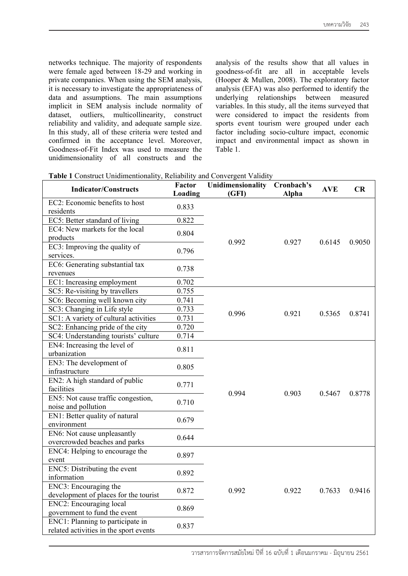networks technique. The majority of respondents were female aged between 18-29 and working in private companies. When using the SEM analysis, it is necessary to investigate the appropriateness of data and assumptions. The main assumptions implicit in SEM analysis include normality of dataset, outliers, multicollinearity, construct reliability and validity, and adequate sample size. In this study, all of these criteria were tested and confirmed in the acceptance level. Moreover, Goodness-of-Fit Index was used to measure the unidimensionality of all constructs and the

analysis of the results show that all values in goodness-of-fit are all in acceptable levels (Hooper & Mullen, 2008). The exploratory factor analysis (EFA) was also performed to identify the underlying relationships between measured variables. In this study, all the items surveyed that were considered to impact the residents from sports event tourism were grouped under each factor including socio-culture impact, economic impact and environmental impact as shown in Table 1.

| <b>Indicator/Constructs</b>                                                | Factor<br>Loading | Unidimensionality<br>(GFI) | Cronbach's<br><b>Alpha</b> | <b>AVE</b> | CR     |
|----------------------------------------------------------------------------|-------------------|----------------------------|----------------------------|------------|--------|
| EC2: Economic benefits to host<br>residents                                | 0.833             |                            |                            |            |        |
| EC5: Better standard of living                                             | 0.822             |                            |                            |            |        |
| EC4: New markets for the local<br>products                                 | 0.804             |                            |                            |            |        |
| EC3: Improving the quality of<br>services.                                 | 0.796             | 0.992                      | 0.927                      | 0.6145     | 0.9050 |
| EC6: Generating substantial tax<br>revenues                                | 0.738             |                            |                            |            |        |
| EC1: Increasing employment                                                 | 0.702             |                            |                            |            |        |
| SC5: Re-visiting by travellers                                             | 0.755             |                            |                            |            |        |
| SC6: Becoming well known city                                              | 0.741             |                            |                            |            |        |
| SC3: Changing in Life style                                                | 0.733             | 0.996                      | 0.921                      | 0.5365     | 0.8741 |
| SC1: A variety of cultural activities                                      | 0.731             |                            |                            |            |        |
| SC2: Enhancing pride of the city                                           | 0.720             |                            |                            |            |        |
| SC4: Understanding tourists' culture                                       | 0.714             |                            |                            |            |        |
| EN4: Increasing the level of<br>urbanization                               | 0.811             |                            | 0.903                      | 0.5467     | 0.8778 |
| EN3: The development of<br>infrastructure                                  | 0.805             |                            |                            |            |        |
| EN2: A high standard of public<br>facilities                               | 0.771             |                            |                            |            |        |
| EN5: Not cause traffic congestion,<br>noise and pollution                  | 0.710             | 0.994                      |                            |            |        |
| EN1: Better quality of natural<br>environment                              | 0.679             |                            |                            |            |        |
| EN6: Not cause unpleasantly<br>overcrowded beaches and parks               | 0.644             |                            |                            |            |        |
| ENC4: Helping to encourage the<br>event                                    | 0.897             |                            | 0.922                      | 0.7633     | 0.9416 |
| ENC5: Distributing the event<br>information                                | 0.892             |                            |                            |            |        |
| ENC3: Encouraging the<br>development of places for the tourist             | 0.872             | 0.992                      |                            |            |        |
| <b>ENC2</b> : Encouraging local<br>government to fund the event            | 0.869             |                            |                            |            |        |
| ENC1: Planning to participate in<br>related activities in the sport events | 0.837             |                            |                            |            |        |

| Table 1 Construct Unidimentionality, Reliability and Convergent Validity |  |
|--------------------------------------------------------------------------|--|
|--------------------------------------------------------------------------|--|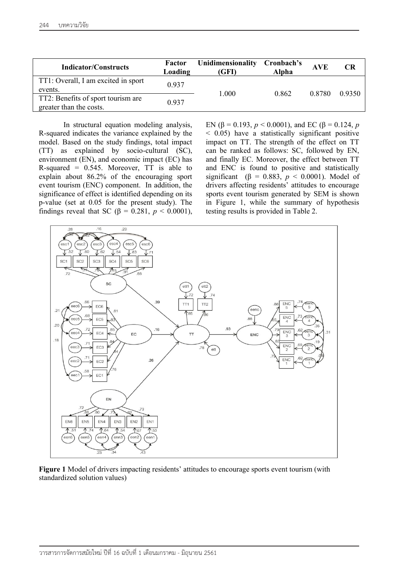| <b>Indicator/Constructs</b>                    | Factor<br>Loading | Unidimensionality<br>(GFI) | Cronbach's<br>Alpha | <b>AVE</b> | <b>CR</b> |
|------------------------------------------------|-------------------|----------------------------|---------------------|------------|-----------|
| TT1: Overall, I am excited in sport<br>events. | 0.937             |                            |                     |            |           |
| TT2: Benefits of sport tourism are             |                   | 1.000                      | 0.862               | 0.8780     | 0.9350    |
| greater than the costs.                        | 0.937             |                            |                     |            |           |

In structural equation modeling analysis, R-squared indicates the variance explained by the model. Based on the study findings, total impact (TT) as explained by socio-cultural (SC), environment (EN), and economic impact (EC) has R-squared =  $0.545$ . Moreover, TT is able to explain about 86.2% of the encouraging sport event tourism (ENC) component. In addition, the significance of effect is identified depending on its p-value (set at 0.05 for the present study). The findings reveal that SC ( $\beta = 0.281$ ,  $p < 0.0001$ ),

EN ( $\beta$  = 0.193, *p* < 0.0001), and EC ( $\beta$  = 0.124, *p* < 0.05) have a statistically significant positive impact on TT. The strength of the effect on TT can be ranked as follows: SC, followed by EN, and finally EC. Moreover, the effect between TT and ENC is found to positive and statistically significant ( $\beta$  = 0.883,  $p$  < 0.0001). Model of drivers affecting residents' attitudes to encourage sports event tourism generated by SEM is shown in Figure 1, while the summary of hypothesis testing results is provided in Table 2.



**Figure 1** Model of drivers impacting residents' attitudes to encourage sports event tourism (with standardized solution values)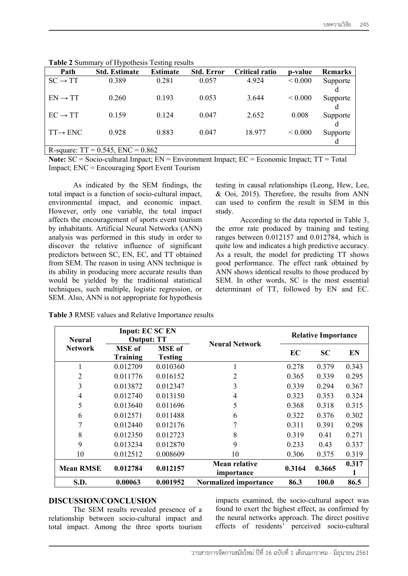| Path                                   | <b>Std. Estimate</b> | <b>Estimate</b> | <b>Std. Error</b> | <b>Critical ratio</b> | p-value      | Remarks  |
|----------------------------------------|----------------------|-----------------|-------------------|-----------------------|--------------|----------|
| $SC \rightarrow TT$                    | 0.389                | 0.281           | 0.057             | 4.924                 | ${}< 0.000$  | Supporte |
|                                        |                      |                 |                   |                       |              |          |
| $EN \rightarrow TT$                    | 0.260                | 0.193           | 0.053             | 3.644                 | ${}_{0.000}$ | Supporte |
|                                        |                      |                 |                   |                       |              |          |
| $EC \rightarrow TT$                    | 0.159                | 0.124           | 0.047             | 2.652                 | 0.008        | Supporte |
|                                        |                      |                 |                   |                       |              |          |
| $TT \rightarrow ENC$                   | 0.928                | 0.883           | 0.047             | 18.977                | ${}< 0.000$  | Supporte |
|                                        |                      |                 |                   |                       |              |          |
| R-square: $TT = 0.545$ , $ENC = 0.862$ |                      |                 |                   |                       |              |          |

**Table 2** Summary of Hypothesis Testing results

**Note:** SC = Socio-cultural Impact; EN = Environment Impact; EC = Economic Impact; TT = Total

Impact; ENC = Encouraging Sport Event Tourism

As indicated by the SEM findings, the total impact is a function of socio-cultural impact, environmental impact, and economic impact. However, only one variable, the total impact affects the encouragement of sports event tourism by inhabitants. Artificial Neural Networks (ANN) analysis was performed in this study in order to discover the relative influence of significant predictors between SC, EN, EC, and TT obtained from SEM. The reason in using ANN technique is its ability in producing more accurate results than would be yielded by the traditional statistical techniques, such multiple, logistic regression, or SEM. Also, ANN is not appropriate for hypothesis

testing in causal relationships (Leong, Hew, Lee, & Ooi, 2015). Therefore, the results from ANN can used to confirm the result in SEM in this study.

According to the data reported in Table 3, the error rate produced by training and testing ranges between 0.012157 and 0.012784, which is quite low and indicates a high predictive accuracy. As a result, the model for predicting TT shows good performance. The effect rank obtained by ANN shows identical results to those produced by SEM. In other words, SC is the most essential determinant of TT, followed by EN and EC.

| <b>Neural</b>    | Input: EC SC EN<br><b>Output: TT</b> |                                 | <b>Neural Network</b>              | <b>Relative Importance</b> |           |           |
|------------------|--------------------------------------|---------------------------------|------------------------------------|----------------------------|-----------|-----------|
| <b>Network</b>   | <b>MSE</b> of<br><b>Training</b>     | <b>MSE</b> of<br><b>Testing</b> |                                    | EC                         | <b>SC</b> | <b>EN</b> |
|                  | 0.012709                             | 0.010360                        |                                    | 0.278                      | 0.379     | 0.343     |
| $\overline{2}$   | 0.011776                             | 0.016152                        | 2                                  | 0.365                      | 0.339     | 0.295     |
| 3                | 0.013872                             | 0.012347                        | 3                                  | 0.339                      | 0.294     | 0.367     |
| 4                | 0.012740                             | 0.013150                        | 4                                  | 0.323                      | 0.353     | 0.324     |
| 5                | 0.013640                             | 0.011696                        | 5                                  | 0.368                      | 0.318     | 0.315     |
| 6                | 0.012571                             | 0.011488                        | 6                                  | 0.322                      | 0.376     | 0.302     |
| 7                | 0.012440                             | 0.012176                        |                                    | 0.311                      | 0.391     | 0.298     |
| 8                | 0.012350                             | 0.012723                        | 8                                  | 0.319                      | 0.41      | 0.271     |
| 9                | 0.013234                             | 0.012870                        | 9                                  | 0.233                      | 0.43      | 0.337     |
| 10               | 0.012512                             | 0.008609                        | 10                                 | 0.306                      | 0.375     | 0.319     |
| <b>Mean RMSE</b> | 0.012784                             | 0.012157                        | <b>Mean relative</b><br>importance | 0.3164                     | 0.3665    | 0.317     |
| S.D.             | 0.00063                              | 0.001952                        | <b>Normalized importance</b>       | 86.3                       | 100.0     | 86.5      |

**Table 3** RMSE values and Relative Importance results

#### **DISCUSSION/CONCLUSION**

The SEM results revealed presence of a relationship between socio-cultural impact and total impact. Among the three sports tourism

impacts examined, the socio-cultural aspect was found to exert the highest effect, as confirmed by the neural networks approach. The direct positive effects of residents' perceived socio-cultural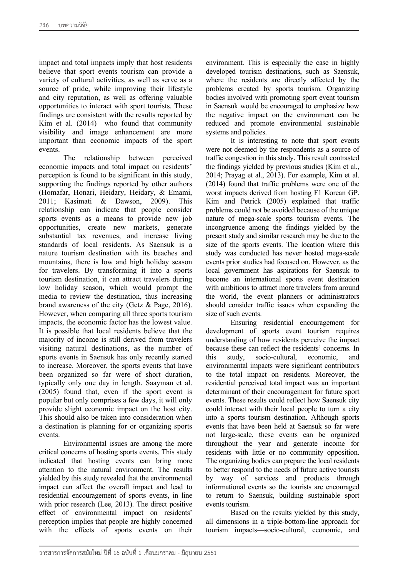impact and total impacts imply that host residents believe that sport events tourism can provide a variety of cultural activities, as well as serve as a source of pride, while improving their lifestyle and city reputation, as well as offering valuable opportunities to interact with sport tourists. These findings are consistent with the results reported by Kim et al. (2014) who found that community visibility and image enhancement are more important than economic impacts of the sport events.

The relationship between perceived economic impacts and total impact on residents' perception is found to be significant in this study, supporting the findings reported by other authors (Homafar, Honari, Heidary, Heidary, & Emami, 2011; Kasimati & Dawson, 2009). This relationship can indicate that people consider sports events as a means to provide new job opportunities, create new markets, generate substantial tax revenues, and increase living standards of local residents. As Saensuk is a nature tourism destination with its beaches and mountains, there is low and high holiday season for travelers. By transforming it into a sports tourism destination, it can attract travelers during low holiday season, which would prompt the media to review the destination, thus increasing brand awareness of the city (Getz & Page, 2016). However, when comparing all three sports tourism impacts, the economic factor has the lowest value. It is possible that local residents believe that the majority of income is still derived from travelers visiting natural destinations, as the number of sports events in Saensuk has only recently started to increase. Moreover, the sports events that have been organized so far were of short duration, typically only one day in length. Saayman et al. (2005) found that, even if the sport event is popular but only comprises a few days, it will only provide slight economic impact on the host city. This should also be taken into consideration when a destination is planning for or organizing sports events.

Environmental issues are among the more critical concerns of hosting sports events. This study indicated that hosting events can bring more attention to the natural environment. The results yielded by this study revealed that the environmental impact can affect the overall impact and lead to residential encouragement of sports events, in line with prior research (Lee, 2013). The direct positive effect of environmental impact on residents' perception implies that people are highly concerned with the effects of sports events on their

environment. This is especially the case in highly developed tourism destinations, such as Saensuk, where the residents are directly affected by the problems created by sports tourism. Organizing bodies involved with promoting sport event tourism in Saensuk would be encouraged to emphasize how the negative impact on the environment can be reduced and promote environmental sustainable systems and policies.

It is interesting to note that sport events were not deemed by the respondents as a source of traffic congestion in this study. This result contrasted the findings yielded by previous studies (Kim et al., 2014; Prayag et al., 2013). For example, Kim et al. (2014) found that traffic problems were one of the worst impacts derived from hosting F1 Korean GP. Kim and Petrick (2005) explained that traffic problems could not be avoided because of the unique nature of mega-scale sports tourism events. The incongruence among the findings yielded by the present study and similar research may be due to the size of the sports events. The location where this study was conducted has never hosted mega-scale events prior studies had focused on. However, as the local government has aspirations for Saensuk to become an international sports event destination with ambitions to attract more travelers from around the world, the event planners or administrators should consider traffic issues when expanding the size of such events.

Ensuring residential encouragement for development of sports event tourism requires understanding of how residents perceive the impact because these can reflect the residents' concerns. In this study, socio-cultural, economic, and environmental impacts were significant contributors to the total impact on residents. Moreover, the residential perceived total impact was an important determinant of their encouragement for future sport events. These results could reflect how Saensuk city could interact with their local people to turn a city into a sports tourism destination. Although sports events that have been held at Saensuk so far were not large-scale, these events can be organized throughout the year and generate income for residents with little or no community opposition. The organizing bodies can prepare the local residents to better respond to the needs of future active tourists by way of services and products through informational events so the tourists are encouraged to return to Saensuk, building sustainable sport events tourism.

Based on the results yielded by this study, all dimensions in a triple-bottom-line approach for tourism impacts—socio-cultural, economic, and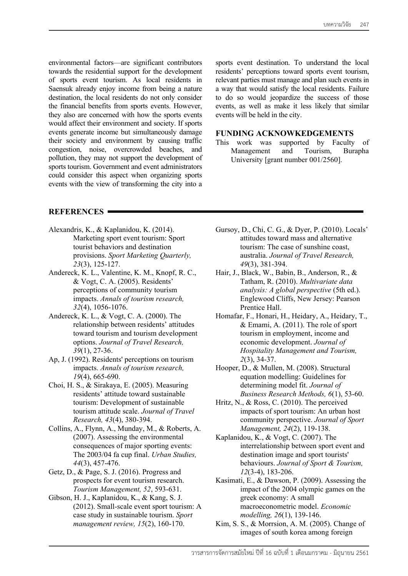environmental factors—are significant contributors towards the residential support for the development of sports event tourism. As local residents in Saensuk already enjoy income from being a nature destination, the local residents do not only consider the financial benefits from sports events. However, they also are concerned with how the sports events would affect their environment and society. If sports events generate income but simultaneously damage their society and environment by causing traffic congestion, noise, overcrowded beaches, and pollution, they may not support the development of sports tourism. Government and event administrators could consider this aspect when organizing sports events with the view of transforming the city into a sports event destination. To understand the local residents' perceptions toward sports event tourism, relevant parties must manage and plan such events in a way that would satisfy the local residents. Failure to do so would jeopardize the success of those events, as well as make it less likely that similar events will be held in the city.

### **FUNDING ACKNOWKEDGEMENTS**

This work was supported by Faculty of Management and Tourism, Burapha University [grant number 001/2560].

## **REFERENCES**

- Alexandris, K., & Kaplanidou, K. (2014). Marketing sport event tourism: Sport tourist behaviors and destination provisions. *Sport Marketing Quarterly, 23*(3), 125-127.
- Andereck, K. L., Valentine, K. M., Knopf, R. C., & Vogt, C. A. (2005). Residents' perceptions of community tourism impacts. *Annals of tourism research, 32*(4), 1056-1076.
- Andereck, K. L., & Vogt, C. A. (2000). The relationship between residents' attitudes toward tourism and tourism development options. *Journal of Travel Research, 39*(1), 27-36.
- Ap, J. (1992). Residents' perceptions on tourism impacts. *Annals of tourism research, 19*(4), 665-690.
- Choi, H. S., & Sirakaya, E. (2005). Measuring residents' attitude toward sustainable tourism: Development of sustainable tourism attitude scale. *Journal of Travel Research, 43*(4), 380-394.
- Collins, A., Flynn, A., Munday, M., & Roberts, A. (2007). Assessing the environmental consequences of major sporting events: The 2003/04 fa cup final. *Urban Studies, 44*(3), 457-476.
- Getz, D., & Page, S. J. (2016). Progress and prospects for event tourism research. *Tourism Management, 52*, 593-631.
- Gibson, H. J., Kaplanidou, K., & Kang, S. J. (2012). Small-scale event sport tourism: A case study in sustainable tourism. *Sport management review, 15*(2), 160-170.
- Gursoy, D., Chi, C. G., & Dyer, P. (2010). Locals' attitudes toward mass and alternative tourism: The case of sunshine coast, australia. *Journal of Travel Research, 49*(3), 381-394.
- Hair, J., Black, W., Babin, B., Anderson, R., & Tatham, R. (2010). *Multivariate data analysis: A global perspective* (5th ed.). Englewood Cliffs, New Jersey: Pearson Prentice Hall.
- Homafar, F., Honari, H., Heidary, A., Heidary, T., & Emami, A. (2011). The role of sport tourism in employment, income and economic development. *Journal of Hospitality Management and Tourism, 2*(3), 34-37.
- Hooper, D., & Mullen, M. (2008). Structural equation modelling: Guidelines for determining model fit. *Journal of Business Research Methods, 6*(1), 53-60.
- Hritz, N., & Ross, C. (2010). The perceived impacts of sport tourism: An urban host community perspective. *Journal of Sport Management, 24*(2), 119-138.
- Kaplanidou, K., & Vogt, C. (2007). The interrelationship between sport event and destination image and sport tourists' behaviours. *Journal of Sport & Tourism, 12*(3-4), 183-206.
- Kasimati, E., & Dawson, P. (2009). Assessing the impact of the 2004 olympic games on the greek economy: A small macroeconometric model. *Economic modelling, 26*(1), 139-146.
- Kim, S. S., & Morrsion, A. M. (2005). Change of images of south korea among foreign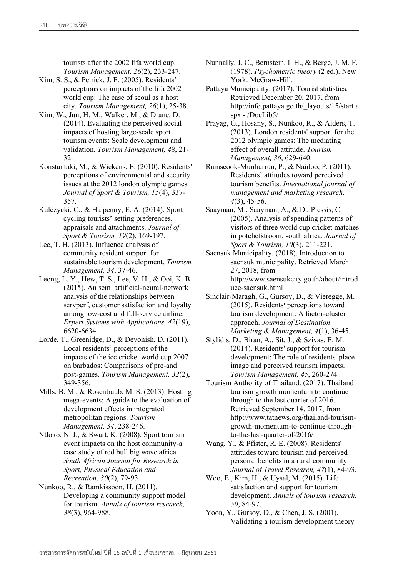tourists after the 2002 fifa world cup. *Tourism Management, 26*(2), 233-247.

- Kim, S. S., & Petrick, J. F. (2005). Residents' perceptions on impacts of the fifa 2002 world cup: The case of seoul as a host city. *Tourism Management, 26*(1), 25-38.
- Kim, W., Jun, H. M., Walker, M., & Drane, D. (2014). Evaluating the perceived social impacts of hosting large-scale sport tourism events: Scale development and validation. *Tourism Management, 48*, 21- 32.
- Konstantaki, M., & Wickens, E. (2010). Residents' perceptions of environmental and security issues at the 2012 london olympic games. *Journal of Sport & Tourism, 15*(4), 337- 357.
- Kulczycki, C., & Halpenny, E. A. (2014). Sport cycling tourists' setting preferences, appraisals and attachments. *Journal of Sport & Tourism, 19*(2), 169-197.
- Lee, T. H. (2013). Influence analysis of community resident support for sustainable tourism development. *Tourism Management, 34*, 37-46.
- Leong, L. Y., Hew, T. S., Lee, V. H., & Ooi, K. B. (2015). An sem–artificial-neural-network analysis of the relationships between servperf, customer satisfaction and loyalty among low-cost and full-service airline. *Expert Systems with Applications, 42*(19), 6620-6634.
- Lorde, T., Greenidge, D., & Devonish, D. (2011). Local residents' perceptions of the impacts of the icc cricket world cup 2007 on barbados: Comparisons of pre-and post-games. *Tourism Management, 32*(2), 349-356.
- Mills, B. M., & Rosentraub, M. S. (2013). Hosting mega-events: A guide to the evaluation of development effects in integrated metropolitan regions. *Tourism Management, 34*, 238-246.
- Ntloko, N. J., & Swart, K. (2008). Sport tourism event impacts on the host community-a case study of red bull big wave africa. *South African Journal for Research in Sport, Physical Education and Recreation, 30*(2), 79-93.
- Nunkoo, R., & Ramkissoon, H. (2011). Developing a community support model for tourism. *Annals of tourism research, 38*(3), 964-988.
- Nunnally, J. C., Bernstein, I. H., & Berge, J. M. F. (1978). *Psychometric theory* (2 ed.). New York: McGraw-Hill.
- Pattaya Municipality. (2017). Tourist statistics. Retrieved December 20, 2017, from http://info.pattaya.go.th/\_layouts/15/start.a spx - /DocLib5/
- Prayag, G., Hosany, S., Nunkoo, R., & Alders, T. (2013). London residents' support for the 2012 olympic games: The mediating effect of overall attitude. *Tourism Management, 36*, 629-640.
- Ramseook-Munhurrun, P., & Naidoo, P. (2011). Residents' attitudes toward perceived tourism benefits. *International journal of management and marketing research, 4*(3), 45-56.
- Saayman, M., Saayman, A., & Du Plessis, C. (2005). Analysis of spending patterns of visitors of three world cup cricket matches in potchefstroom, south africa. *Journal of Sport & Tourism, 10*(3), 211-221.
- Saensuk Municipality. (2018). Introduction to saensuk municipality. Retrieved March 27, 2018, from http://www.saensukcity.go.th/about/introd uce-saensuk.html
- Sinclair-Maragh, G., Gursoy, D., & Vieregge, M. (2015). Residents׳ perceptions toward tourism development: A factor-cluster approach. *Journal of Destination Marketing & Management, 4*(1), 36-45.
- Stylidis, D., Biran, A., Sit, J., & Szivas, E. M. (2014). Residents' support for tourism development: The role of residents' place image and perceived tourism impacts. *Tourism Management, 45*, 260-274.
- Tourism Authority of Thailand. (2017). Thailand tourism growth momentum to continue through to the last quarter of 2016. Retrieved September 14, 2017, from http://www.tatnews.org/thailand-tourismgrowth-momentum-to-continue-throughto-the-last-quarter-of-2016/
- Wang, Y., & Pfister, R. E. (2008). Residents' attitudes toward tourism and perceived personal benefits in a rural community. *Journal of Travel Research, 47*(1), 84-93.
- Woo, E., Kim, H., & Uysal, M. (2015). Life satisfaction and support for tourism development. *Annals of tourism research, 50*, 84-97.
- Yoon, Y., Gursoy, D., & Chen, J. S. (2001). Validating a tourism development theory